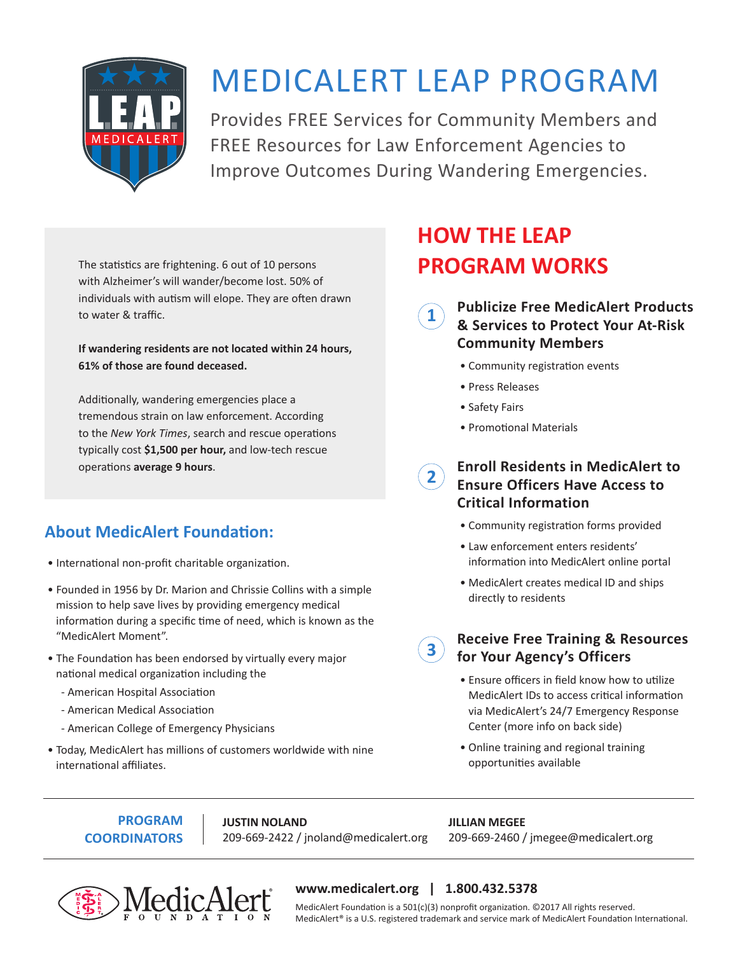

# MEDICALERT LEAP PROGRAM

Provides FREE Services for Community Members and FREE Resources for Law Enforcement Agencies to Improve Outcomes During Wandering Emergencies.

**1**

The statistics are frightening. 6 out of 10 persons with Alzheimer's will wander/become lost. 50% of individuals with autism will elope. They are often drawn to water & traffic.

**If wandering residents are not located within 24 hours, 61% of those are found deceased.**

Additionally, wandering emergencies place a tremendous strain on law enforcement. According to the *New York Times*, search and rescue operations typically cost **\$1,500 per hour,** and low-tech rescue operations **average 9 hours**.

## **About MedicAlert Foundation:**

- International non-profit charitable organization.
- Founded in 1956 by Dr. Marion and Chrissie Collins with a simple mission to help save lives by providing emergency medical information during a specific time of need, which is known as the "MedicAlert Moment".
- The Foundation has been endorsed by virtually every major national medical organization including the
	- American Hospital Association
	- American Medical Association
	- American College of Emergency Physicians
- Today, MedicAlert has millions of customers worldwide with nine international affiliates.

## **HOW THE LEAP PROGRAM WORKS**

**Publicize Free MedicAlert Products & Services to Protect Your At-Risk Community Members**

- Community registration events
- Press Releases
- Safety Fairs
- Promotional Materials

#### **Enroll Residents in MedicAlert to Ensure Officers Have Access to Critical Information 2**

- Community registration forms provided
- Law enforcement enters residents' information into MedicAlert online portal
- MedicAlert creates medical ID and ships directly to residents

## **Receive Free Training & Resources for Your Agency's Officers**

- Ensure officers in field know how to utilize MedicAlert IDs to access critical information via MedicAlert's 24/7 Emergency Response Center (more info on back side)
- Online training and regional training opportunities available

**PROGRAM COORDINATORS** **JUSTIN NOLAND** 209-669-2422 / jnoland@medicalert.org

**JILLIAN MEGEE** 209-669-2460 / jmegee@medicalert.org



## **www.medicalert.org | 1.800.432.5378**

**3**

MedicAlert Foundation is a 501(c)(3) nonprofit organization. ©2017 All rights reserved. MedicAlert® is a U.S. registered trademark and service mark of MedicAlert Foundation International.